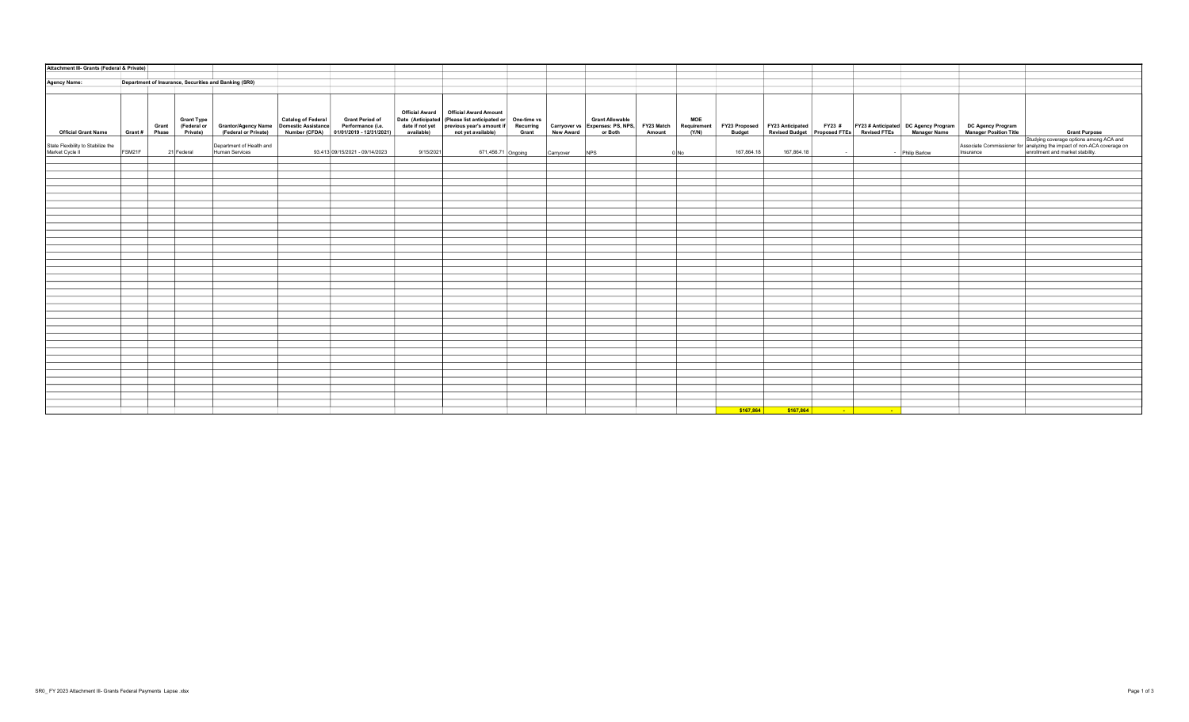| Attachment III- Grants (Federal & Private)            |        |                                  |                                              |                                                                                    |                                                                                |                       |                                                                                                                                                                                                                                                                      |           |                 |                             |                                    |                                |            |        |                                                 |                                                                                                                    |                                             |                                                                                                                                                                 |
|-------------------------------------------------------|--------|----------------------------------|----------------------------------------------|------------------------------------------------------------------------------------|--------------------------------------------------------------------------------|-----------------------|----------------------------------------------------------------------------------------------------------------------------------------------------------------------------------------------------------------------------------------------------------------------|-----------|-----------------|-----------------------------|------------------------------------|--------------------------------|------------|--------|-------------------------------------------------|--------------------------------------------------------------------------------------------------------------------|---------------------------------------------|-----------------------------------------------------------------------------------------------------------------------------------------------------------------|
|                                                       |        |                                  |                                              |                                                                                    |                                                                                |                       |                                                                                                                                                                                                                                                                      |           |                 |                             |                                    |                                |            |        |                                                 |                                                                                                                    |                                             |                                                                                                                                                                 |
| <b>Agency Name:</b>                                   |        |                                  |                                              | Department of Insurance, Securities and Banking (SR0)                              |                                                                                |                       |                                                                                                                                                                                                                                                                      |           |                 |                             |                                    |                                |            |        |                                                 |                                                                                                                    |                                             |                                                                                                                                                                 |
|                                                       |        |                                  |                                              |                                                                                    |                                                                                |                       |                                                                                                                                                                                                                                                                      |           |                 |                             |                                    |                                |            |        |                                                 |                                                                                                                    |                                             |                                                                                                                                                                 |
| <b>Official Grant Name</b>                            |        | Grant<br>Grant #   Phase $\vert$ | <b>Grant Type</b><br>(Federal or<br>Private) | Grantor/Agency Name Catalog of Federal<br>(Federal or Private) Domestic Assistance | Grant Period of<br>Performance (i.e.<br>Number (CFDA) 01/01/2019 - 12/31/2021) | <b>Official Award</b> | <b>Official Award Amount</b><br>Date (Anticipated (Please list anticipated or One-time vs Carryover vs Carant Allowable<br>date if not yet previous year's amount if Recurring Carryover vs Expenses: PS, NPS,<br>available) of yet available) Grant New Award or Bo |           |                 | FY23 Match<br><b>Amount</b> | <b>MOE</b><br>Requirement<br>(Y/N) | FY23 Proposed<br><b>Budget</b> |            |        |                                                 | FY23 Anticipated FY23 # FY23 #Anticipated DC Agency Program Revised Budget Proposed FTEs Revised FTEs Manager Name | DC Agency Program<br>Manager Position Title | <b>Grant Purpose</b>                                                                                                                                            |
| State Flexibility to Stabilize the<br>Market Cycle II | FSM21F |                                  | 21 Federal                                   | Department of Health and<br>Human Services                                         | 93.413 09/15/2021 - 09/14/2023                                                 | 9/15/2021             | 671,456.71 Ongoing                                                                                                                                                                                                                                                   | Carryover | N <sub>PS</sub> |                             | 0 No                               | 167,864.18                     | 167,864.18 | $\sim$ |                                                 | - Philip Barlow                                                                                                    |                                             | Studying coverage options among ACA and<br>Associate Commissioner for analyzing the impact of non-ACA coverage on<br>Insurance enrollment and market stability. |
|                                                       |        |                                  |                                              |                                                                                    |                                                                                |                       |                                                                                                                                                                                                                                                                      |           |                 |                             |                                    |                                |            |        |                                                 |                                                                                                                    |                                             |                                                                                                                                                                 |
|                                                       |        |                                  |                                              |                                                                                    |                                                                                |                       |                                                                                                                                                                                                                                                                      |           |                 |                             |                                    |                                |            |        |                                                 |                                                                                                                    |                                             |                                                                                                                                                                 |
|                                                       |        |                                  |                                              |                                                                                    |                                                                                |                       |                                                                                                                                                                                                                                                                      |           |                 |                             |                                    |                                |            |        |                                                 |                                                                                                                    |                                             |                                                                                                                                                                 |
|                                                       |        |                                  |                                              |                                                                                    |                                                                                |                       |                                                                                                                                                                                                                                                                      |           |                 |                             |                                    |                                |            |        |                                                 |                                                                                                                    |                                             |                                                                                                                                                                 |
|                                                       |        |                                  |                                              |                                                                                    |                                                                                |                       |                                                                                                                                                                                                                                                                      |           |                 |                             |                                    |                                |            |        |                                                 |                                                                                                                    |                                             |                                                                                                                                                                 |
|                                                       |        |                                  |                                              |                                                                                    |                                                                                |                       |                                                                                                                                                                                                                                                                      |           |                 |                             |                                    |                                |            |        |                                                 |                                                                                                                    |                                             |                                                                                                                                                                 |
|                                                       |        |                                  |                                              |                                                                                    |                                                                                |                       |                                                                                                                                                                                                                                                                      |           |                 |                             |                                    |                                |            |        |                                                 |                                                                                                                    |                                             |                                                                                                                                                                 |
|                                                       |        |                                  |                                              |                                                                                    |                                                                                |                       |                                                                                                                                                                                                                                                                      |           |                 |                             |                                    |                                |            |        |                                                 |                                                                                                                    |                                             |                                                                                                                                                                 |
|                                                       |        |                                  |                                              |                                                                                    |                                                                                |                       |                                                                                                                                                                                                                                                                      |           |                 |                             |                                    |                                |            |        |                                                 |                                                                                                                    |                                             |                                                                                                                                                                 |
|                                                       |        |                                  |                                              |                                                                                    |                                                                                |                       |                                                                                                                                                                                                                                                                      |           |                 |                             |                                    |                                |            |        |                                                 |                                                                                                                    |                                             |                                                                                                                                                                 |
|                                                       |        |                                  |                                              |                                                                                    |                                                                                |                       |                                                                                                                                                                                                                                                                      |           |                 |                             |                                    |                                |            |        |                                                 |                                                                                                                    |                                             |                                                                                                                                                                 |
|                                                       |        |                                  |                                              |                                                                                    |                                                                                |                       |                                                                                                                                                                                                                                                                      |           |                 |                             |                                    |                                |            |        |                                                 |                                                                                                                    |                                             |                                                                                                                                                                 |
|                                                       |        |                                  |                                              |                                                                                    |                                                                                |                       |                                                                                                                                                                                                                                                                      |           |                 |                             |                                    |                                |            |        |                                                 |                                                                                                                    |                                             |                                                                                                                                                                 |
|                                                       |        |                                  |                                              |                                                                                    |                                                                                |                       |                                                                                                                                                                                                                                                                      |           |                 |                             |                                    |                                |            |        |                                                 |                                                                                                                    |                                             |                                                                                                                                                                 |
|                                                       |        |                                  |                                              |                                                                                    |                                                                                |                       |                                                                                                                                                                                                                                                                      |           |                 |                             |                                    |                                |            |        |                                                 |                                                                                                                    |                                             |                                                                                                                                                                 |
|                                                       |        |                                  |                                              |                                                                                    |                                                                                |                       |                                                                                                                                                                                                                                                                      |           |                 |                             |                                    |                                |            |        |                                                 |                                                                                                                    |                                             |                                                                                                                                                                 |
|                                                       |        |                                  |                                              |                                                                                    |                                                                                |                       |                                                                                                                                                                                                                                                                      |           |                 |                             |                                    |                                |            |        |                                                 |                                                                                                                    |                                             |                                                                                                                                                                 |
|                                                       |        |                                  |                                              |                                                                                    |                                                                                |                       |                                                                                                                                                                                                                                                                      |           |                 |                             |                                    |                                |            |        |                                                 |                                                                                                                    |                                             |                                                                                                                                                                 |
|                                                       |        |                                  |                                              |                                                                                    |                                                                                |                       |                                                                                                                                                                                                                                                                      |           |                 |                             |                                    |                                |            |        |                                                 |                                                                                                                    |                                             |                                                                                                                                                                 |
|                                                       |        |                                  |                                              |                                                                                    |                                                                                |                       |                                                                                                                                                                                                                                                                      |           |                 |                             |                                    |                                |            |        |                                                 |                                                                                                                    |                                             |                                                                                                                                                                 |
|                                                       |        |                                  |                                              |                                                                                    |                                                                                |                       |                                                                                                                                                                                                                                                                      |           |                 |                             |                                    |                                |            |        |                                                 |                                                                                                                    |                                             |                                                                                                                                                                 |
|                                                       |        |                                  |                                              |                                                                                    |                                                                                |                       |                                                                                                                                                                                                                                                                      |           |                 |                             |                                    |                                |            |        |                                                 |                                                                                                                    |                                             |                                                                                                                                                                 |
|                                                       |        |                                  |                                              |                                                                                    |                                                                                |                       |                                                                                                                                                                                                                                                                      |           |                 |                             |                                    |                                |            |        |                                                 |                                                                                                                    |                                             |                                                                                                                                                                 |
|                                                       |        |                                  |                                              |                                                                                    |                                                                                |                       |                                                                                                                                                                                                                                                                      |           |                 |                             |                                    |                                |            |        |                                                 |                                                                                                                    |                                             |                                                                                                                                                                 |
|                                                       |        |                                  |                                              |                                                                                    |                                                                                |                       |                                                                                                                                                                                                                                                                      |           |                 |                             |                                    |                                |            |        |                                                 |                                                                                                                    |                                             |                                                                                                                                                                 |
|                                                       |        |                                  |                                              |                                                                                    |                                                                                |                       |                                                                                                                                                                                                                                                                      |           |                 |                             |                                    |                                |            |        |                                                 |                                                                                                                    |                                             |                                                                                                                                                                 |
|                                                       |        |                                  |                                              |                                                                                    |                                                                                |                       |                                                                                                                                                                                                                                                                      |           |                 |                             |                                    |                                |            |        |                                                 |                                                                                                                    |                                             |                                                                                                                                                                 |
|                                                       |        |                                  |                                              |                                                                                    |                                                                                |                       |                                                                                                                                                                                                                                                                      |           |                 |                             |                                    |                                |            |        |                                                 |                                                                                                                    |                                             |                                                                                                                                                                 |
|                                                       |        |                                  |                                              |                                                                                    |                                                                                |                       |                                                                                                                                                                                                                                                                      |           |                 |                             |                                    |                                |            |        |                                                 |                                                                                                                    |                                             |                                                                                                                                                                 |
|                                                       |        |                                  |                                              |                                                                                    |                                                                                |                       |                                                                                                                                                                                                                                                                      |           |                 |                             |                                    |                                |            |        |                                                 |                                                                                                                    |                                             |                                                                                                                                                                 |
|                                                       |        |                                  |                                              |                                                                                    |                                                                                |                       |                                                                                                                                                                                                                                                                      |           |                 |                             |                                    |                                |            |        |                                                 |                                                                                                                    |                                             |                                                                                                                                                                 |
|                                                       |        |                                  |                                              |                                                                                    |                                                                                |                       |                                                                                                                                                                                                                                                                      |           |                 |                             |                                    | \$167,864                      | \$167,864  |        | <u> 1989 - Jan Barnett, fransk konge og det</u> |                                                                                                                    |                                             |                                                                                                                                                                 |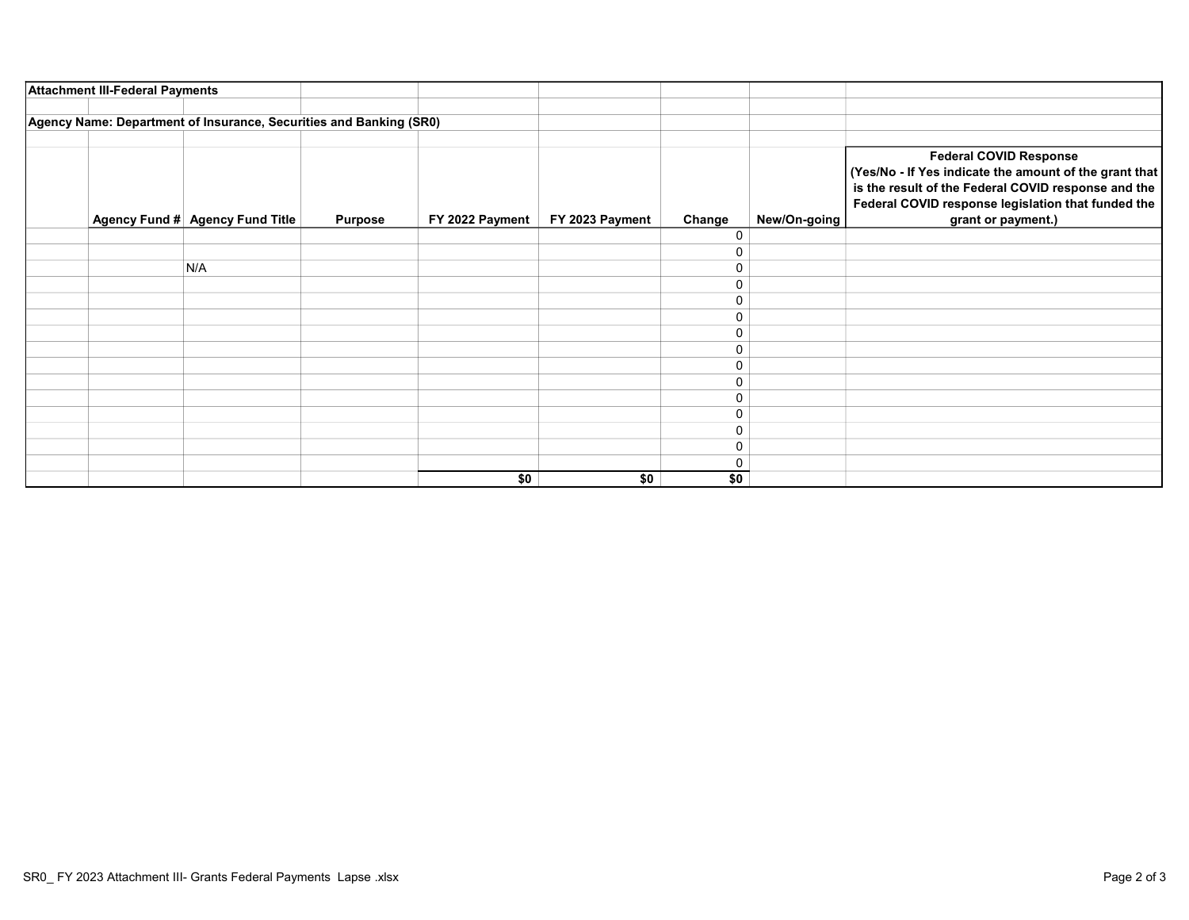| <b>Attachment III-Federal Payments</b>                             |                |                 |                 |        |              |                                                                                                                                                                                                                            |
|--------------------------------------------------------------------|----------------|-----------------|-----------------|--------|--------------|----------------------------------------------------------------------------------------------------------------------------------------------------------------------------------------------------------------------------|
| Agency Name: Department of Insurance, Securities and Banking (SR0) |                |                 |                 |        |              |                                                                                                                                                                                                                            |
| Agency Fund # Agency Fund Title                                    | <b>Purpose</b> | FY 2022 Payment | FY 2023 Payment | Change | New/On-going | <b>Federal COVID Response</b><br>(Yes/No - If Yes indicate the amount of the grant that<br>is the result of the Federal COVID response and the<br>Federal COVID response legislation that funded the<br>grant or payment.) |
|                                                                    |                |                 |                 | 0      |              |                                                                                                                                                                                                                            |
|                                                                    |                |                 |                 | 0      |              |                                                                                                                                                                                                                            |
| N/A                                                                |                |                 |                 | 0      |              |                                                                                                                                                                                                                            |
|                                                                    |                |                 |                 | 0      |              |                                                                                                                                                                                                                            |
|                                                                    |                |                 |                 | 0      |              |                                                                                                                                                                                                                            |
|                                                                    |                |                 |                 | 0      |              |                                                                                                                                                                                                                            |
|                                                                    |                |                 |                 | 0      |              |                                                                                                                                                                                                                            |
|                                                                    |                |                 |                 | 0      |              |                                                                                                                                                                                                                            |
|                                                                    |                |                 |                 | 0      |              |                                                                                                                                                                                                                            |
|                                                                    |                |                 |                 | 0      |              |                                                                                                                                                                                                                            |
|                                                                    |                |                 |                 | 0      |              |                                                                                                                                                                                                                            |
|                                                                    |                |                 |                 | 0      |              |                                                                                                                                                                                                                            |
|                                                                    |                |                 |                 | 0      |              |                                                                                                                                                                                                                            |
|                                                                    |                |                 |                 | 0      |              |                                                                                                                                                                                                                            |
|                                                                    |                |                 |                 | 0      |              |                                                                                                                                                                                                                            |
|                                                                    |                | \$0             | \$0             | \$0    |              |                                                                                                                                                                                                                            |